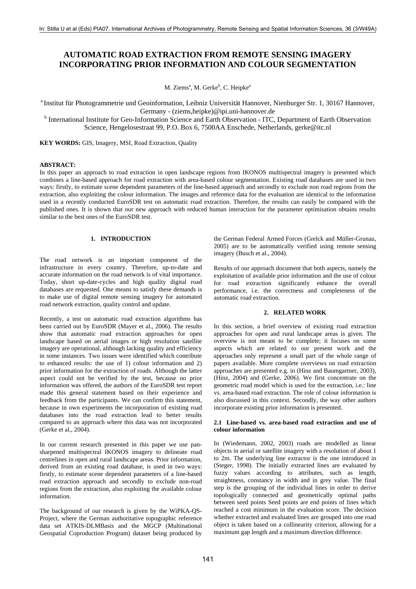# **AUTOMATIC ROAD EXTRACTION FROM REMOTE SENSING IMAGERY INCORPORATING PRIOR INFORMATION AND COLOUR SEGMENTATION**

M. Ziems<sup>a</sup>, M. Gerke<sup>b</sup>, C. Heipke<sup>a</sup>

a Institut für Photogrammetrie und Geoinformation, Leibniz Universität Hannover, Nienburger Str. 1, 30167 Hannover,

Germany - (ziems,heipke)@ipi.uni-hannover.de<br><sup>b</sup> International Institute for Geo-Information Science and Earth Observation - ITC, Department of Earth Observation Science, Hengelosestraat 99, P.O. Box 6, 7500AA Enschede, Netherlands, gerke@itc.nl

**KEY WORDS: GIS, Imagery, MSI, Road Extraction, Quality** 

# **ABSTRACT:**

In this paper an approach to road extraction in open landscape regions from IKONOS multispectral imagery is presented which combines a line-based approach for road extraction with area-based colour segmentation. Existing road databases are used in two ways: firstly, to estimate scene dependent parameters of the line-based approach and secondly to exclude non road regions from the extraction, also exploiting the colour information. The images and reference data for the evaluation are identical to the information used in a recently conducted EuroSDR test on automatic road extraction. Therefore, the results can easily be compared with the published ones. It is shown that our new approach with reduced human interaction for the parameter optimisation obtains results similar to the best ones of the EuroSDR test.

# **1. INTRODUCTION**

The road network is an important component of the infrastructure in every country. Therefore, up-to-date and accurate information on the road network is of vital importance. Today, short up-date-cycles and high quality digital road databases are requested. One means to satisfy these demands is to make use of digital remote sensing imagery for automated road network extraction, quality control and update.

Recently, a test on automatic road extraction algorithms has been carried out by EuroSDR (Mayer et al., 2006). The results show that automatic road extraction approaches for open landscape based on aerial images or high resolution satellite imagery are operational, although lacking quality and efficiency in some instances. Two issues were identified which contribute to enhanced results: the use of 1) colour information and 2) prior information for the extraction of roads. Although the latter aspect could not be verified by the test, because no prior information was offered, the authors of the EuroSDR test report made this general statement based on their experience and feedback from the participants. We can confirm this statement, because in own experiments the incorporation of existing road databases into the road extraction lead to better results compared to an approach where this data was not incorporated (Gerke et al., 2004).

In our current research presented in this paper we use pansharpened multispectral IKONOS imagery to delineate road centrelines in open and rural landscape areas. Prior information, derived from an existing road database, is used in two ways: firstly, to estimate scene dependent parameters of a line-based road extraction approach and secondly to exclude non-road regions from the extraction, also exploiting the available colour information.

The background of our research is given by the WiPKA-QS-Project, where the German authoritative topographic reference data set ATKIS-DLMBasis and the MGCP (Multinational Geospatial Coproduction Program) dataset being produced by the German Federal Armed Forces (Grelck and Müller-Grunau, 2005) are to be automatically verified using remote sensing imagery (Busch et al., 2004).

Results of our approach document that both aspects, namely the exploitation of available prior information and the use of colour for road extraction significantly enhance the overall performance, i.e. the correctness and completeness of the automatic road extraction.

# **2. RELATED WORK**

In this section, a brief overview of existing road extraction approaches for open and rural landscape areas is given. The overview is not meant to be complete; it focuses on some aspects which are related to our present work and the approaches only represent a small part of the whole range of papers available. More complete overviews on road extraction approaches are presented e.g. in (Hinz and Baumgartner, 2003), (Hinz, 2004) and (Gerke, 2006). We first concentrate on the geometric road model which is used for the extraction, i.e.: line vs. area-based road extraction. The role of colour information is also discussed in this context. Secondly, the way other authors incorporate existing prior information is presented.

## **2.1 Line-based vs. area-based road extraction and use of colour information**

In (Wiedemann, 2002, 2003) roads are modelled as linear objects in aerial or satellite imagery with a resolution of about 1 to 2m. The underlying line extractor is the one introduced in (Steger, 1998). The initially extracted lines are evaluated by fuzzy values according to attributes, such as length, straightness, constancy in width and in grey value. The final step is the grouping of the individual lines in order to derive topologically connected and geometrically optimal paths between seed points Seed points are end points of lines which reached a cost minimum in the evaluation score. The decision whether extracted and evaluated lines are grouped into one road object is taken based on a collinearity criterion, allowing for a maximum gap length and a maximum direction difference.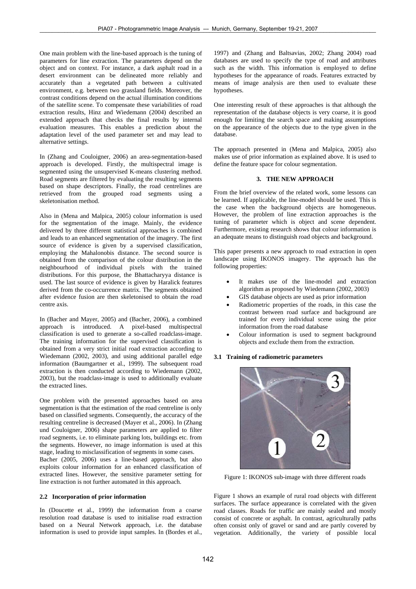One main problem with the line-based approach is the tuning of parameters for line extraction. The parameters depend on the object and on context. For instance, a dark asphalt road in a desert environment can be delineated more reliably and accurately than a vegetated path between a cultivated environment, e.g. between two grassland fields. Moreover, the contrast conditions depend on the actual illumination conditions of the satellite scene. To compensate these variabilities of road extraction results, Hinz and Wiedemann (2004) described an extended approach that checks the final results by internal evaluation measures. This enables a prediction about the adaptation level of the used parameter set and may lead to alternative settings.

In (Zhang and Couloigner, 2006) an area-segmentation-based approach is developed. Firstly, the multispectral image is segmented using the unsupervised K-means clustering method. Road segments are filtered by evaluating the resulting segments based on shape descriptors. Finally, the road centrelines are retrieved from the grouped road segments using a skeletonisation method.

Also in (Mena and Malpica, 2005) colour information is used for the segmentation of the image. Mainly, the evidence delivered by three different statistical approaches is combined and leads to an enhanced segmentation of the imagery. The first source of evidence is given by a supervised classification, employing the Mahalonobis distance. The second source is obtained from the comparison of the colour distribution in the neighbourhood of individual pixels with the trained distributions. For this purpose, the Bhattacharyya distance is used. The last source of evidence is given by Haralick features derived from the co-occurrence matrix. The segments obtained after evidence fusion are then skeletonised to obtain the road centre axis.

In (Bacher and Mayer, 2005) and (Bacher, 2006), a combined approach is introduced. A pixel-based multispectral classification is used to generate a so-called roadclass-image. The training information for the supervised classification is obtained from a very strict initial road extraction according to Wiedemann (2002, 2003), and using additional parallel edge information (Baumgartner et al., 1999). The subsequent road extraction is then conducted according to Wiedemann (2002, 2003), but the roadclass-image is used to additionally evaluate the extracted lines.

One problem with the presented approaches based on area segmentation is that the estimation of the road centreline is only based on classified segments. Consequently, the accuracy of the resulting centreline is decreased (Mayer et al., 2006). In (Zhang und Couloigner, 2006) shape parameters are applied to filter road segments, i.e. to eliminate parking lots, buildings etc. from the segments. However, no image information is used at this stage, leading to misclassification of segments in some cases. Bacher (2005, 2006) uses a line-based approach, but also exploits colour information for an enhanced classification of extracted lines. However, the sensitive parameter setting for line extraction is not further automated in this approach.

# **2.2 Incorporation of prior information**

In (Doucette et al., 1999) the information from a coarse resolution road database is used to initialise road extraction based on a Neural Network approach, i.e. the database information is used to provide input samples. In (Bordes et al.,

1997) and (Zhang and Baltsavias, 2002; Zhang 2004) road databases are used to specify the type of road and attributes such as the width. This information is employed to define hypotheses for the appearance of roads. Features extracted by means of image analysis are then used to evaluate these hypotheses.

One interesting result of these approaches is that although the representation of the database objects is very coarse, it is good enough for limiting the search space and making assumptions on the appearance of the objects due to the type given in the database.

The approach presented in (Mena and Malpica, 2005) also makes use of prior information as explained above. It is used to define the feature space for colour segmentation.

#### **3. THE NEW APPROACH**

From the brief overview of the related work, some lessons can be learned. If applicable, the line-model should be used. This is the case when the background objects are homogeneous. However, the problem of line extraction approaches is the tuning of parameter which is object and scene dependent. Furthermore, existing research shows that colour information is an adequate means to distinguish road objects and background.

This paper presents a new approach to road extraction in open landscape using IKONOS imagery. The approach has the following properties:

- It makes use of the line-model and extraction algorithm as proposed by Wiedemann (2002, 2003)
- GIS database objects are used as prior information
- Radiometric properties of the roads, in this case the contrast between road surface and background are trained for every individual scene using the prior information from the road database
- Colour information is used to segment background objects and exclude them from the extraction.

#### **3.1 Training of radiometric parameters**



Figure 1: IKONOS sub-image with three different roads

Figure 1 shows an example of rural road objects with different surfaces. The surface appearance is correlated with the given road classes. Roads for traffic are mainly sealed and mostly consist of concrete or asphalt. In contrast, agriculturally paths often consist only of gravel or sand and are partly covered by vegetation. Additionally, the variety of possible local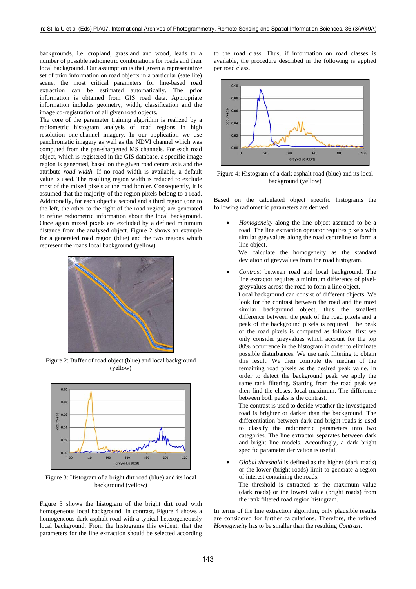backgrounds, i.e. cropland, grassland and wood, leads to a number of possible radiometric combinations for roads and their local background. Our assumption is that given a representative set of prior information on road objects in a particular (satellite) scene, the most critical parameters for line-based road extraction can be estimated automatically. The prior information is obtained from GIS road data. Appropriate information includes geometry, width, classification and the image co-registration of all given road objects.

The core of the parameter training algorithm is realized by a radiometric histogram analysis of road regions in high resolution one-channel imagery. In our application we use panchromatic imagery as well as the NDVI channel which was computed from the pan-sharpened MS channels. For each road object, which is registered in the GIS database, a specific image region is generated, based on the given road centre axis and the attribute *road width.* If no road width is available, a default value is used. The resulting region width is reduced to exclude most of the mixed pixels at the road border. Consequently, it is assumed that the majority of the region pixels belong to a road. Additionally, for each object a second and a third region (one to the left, the other to the right of the road region) are generated to refine radiometric information about the local background. Once again mixed pixels are excluded by a defined minimum distance from the analysed object. Figure 2 shows an example for a generated road region (blue) and the two regions which represent the roads local background (yellow).



Figure 2: Buffer of road object (blue) and local background (yellow)



Figure 3: Histogram of a bright dirt road (blue) and its local background (yellow)

Figure 3 shows the histogram of the bright dirt road with homogeneous local background. In contrast, Figure 4 shows a homogeneous dark asphalt road with a typical heterogeneously local background. From the histograms this evident, that the parameters for the line extraction should be selected according to the road class. Thus, if information on road classes is available, the procedure described in the following is applied per road class.



Figure 4: Histogram of a dark asphalt road (blue) and its local background (yellow)

Based on the calculated object specific histograms the following radiometric parameters are derived:

• *Homogeneity* along the line object assumed to be a road. The line extraction operator requires pixels with similar greyvalues along the road centreline to form a line object.

 We calculate the homogeneity as the standard deviation of greyvalues from the road histogram.

• *Contrast* between road and local background. The line extractor requires a minimum difference of pixelgreyvalues across the road to form a line object.

 Local background can consist of different objects. We look for the contrast between the road and the most similar background object, thus the smallest difference between the peak of the road pixels and a peak of the background pixels is required. The peak of the road pixels is computed as follows: first we only consider greyvalues which account for the top 80% occurrence in the histogram in order to eliminate possible disturbances. We use rank filtering to obtain this result. We then compute the median of the remaining road pixels as the desired peak value. In order to detect the background peak we apply the same rank filtering. Starting from the road peak we then find the closest local maximum. The difference between both peaks is the contrast.

 The contrast is used to decide weather the investigated road is brighter or darker than the background. The differentiation between dark and bright roads is used to classify the radiometric parameters into two categories. The line extractor separates between dark and bright line models. Accordingly, a dark–bright specific parameter derivation is useful.

• *Global threshold* is defined as the higher (dark roads) or the lower (bright roads) limit to generate a region of interest containing the roads. The threshold is extracted as the maximum value (dark roads) or the lowest value (bright roads) from the rank filtered road region histogram.

In terms of the line extraction algorithm, only plausible results are considered for further calculations. Therefore, the refined *Homogeneity* has to be smaller than the resulting *Contrast*.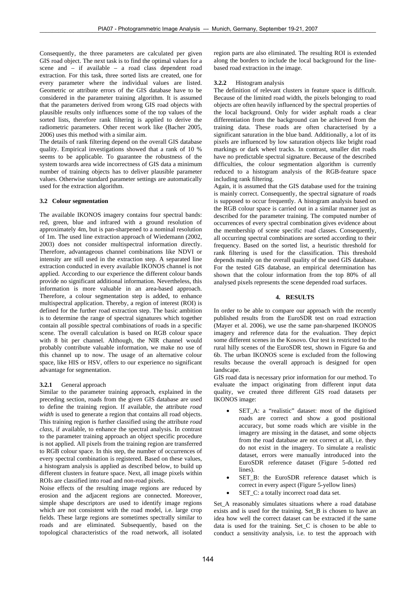Consequently, the three parameters are calculated per given GIS road object. The next task is to find the optimal values for a scene and – if available – a road class dependent road extraction. For this task, three sorted lists are created, one for every parameter where the individual values are listed. Geometric or attribute errors of the GIS database have to be considered in the parameter training algorithm. It is assumed that the parameters derived from wrong GIS road objects with plausible results only influences some of the top values of the sorted lists, therefore rank filtering is applied to derive the radiometric parameters. Other recent work like (Bacher 2005, 2006) uses this method with a similar aim.

The details of rank filtering depend on the overall GIS database quality. Empirical investigations showed that a rank of 10 % seems to be applicable. To guarantee the robustness of the system towards area wide incorrectness of GIS data a minimum number of training objects has to deliver plausible parameter values. Otherwise standard parameter settings are automatically used for the extraction algorithm.

### **3.2 Colour segmentation**

The available IKONOS imagery contains four spectral bands: red, green, blue and infrared with a ground resolution of approximately 4m, but is pan-sharpened to a nominal resolution of 1m. The used line extraction approach of Wiedemann (2002, 2003) does not consider multispectral information directly. Therefore, advantageous channel combinations like NDVI or intensity are still used in the extraction step. A separated line extraction conducted in every available IKONOS channel is not applied. According to our experience the different colour bands provide no significant additional information. Nevertheless, this information is more valuable in an area-based approach. Therefore, a colour segmentation step is added, to enhance multispectral application. Thereby, a region of interest (ROI) is defined for the further road extraction step. The basic ambition is to determine the range of spectral signatures which together contain all possible spectral combinations of roads in a specific scene. The overall calculation is based on RGB colour space with 8 bit per channel. Although, the NIR channel would probably contribute valuable information, we make no use of this channel up to now. The usage of an alternative colour space, like HIS or HSV, offers to our experience no significant advantage for segmentation.

#### **3.2.1** General approach

Similar to the parameter training approach, explained in the preceding section, roads from the given GIS database are used to define the training region. If available, the attribute *road width* is used to generate a region that contains all road objects. This training region is further classified using the attribute *road class*, if available, to enhance the spectral analysis. In contrast to the parameter training approach an object specific procedure is not applied. All pixels from the training region are transferred to RGB colour space. In this step, the number of occurrences of every spectral combination is registered. Based on these values, a histogram analysis is applied as described below, to build up different clusters in feature space. Next, all image pixels within ROIs are classified into road and non-road pixels.

Noise effects of the resulting image regions are reduced by erosion and the adjacent regions are connected. Moreover, simple shape descriptors are used to identify image regions which are not consistent with the road model, i.e. large crop fields. These large regions are sometimes spectrally similar to roads and are eliminated. Subsequently, based on the topological characteristics of the road network, all isolated

region parts are also eliminated. The resulting ROI is extended along the borders to include the local background for the linebased road extraction in the image.

# **3.2.2** Histogram analysis

The definition of relevant clusters in feature space is difficult. Because of the limited road width, the pixels belonging to road objects are often heavily influenced by the spectral properties of the local background. Only for wider asphalt roads a clear differentiation from the background can be achieved from the training data. These roads are often characterised by a significant saturation in the blue band. Additionally, a lot of its pixels are influenced by low saturation objects like bright road markings or dark wheel tracks. In contrast, smaller dirt roads have no predictable spectral signature. Because of the described difficulties, the colour segmentation algorithm is currently reduced to a histogram analysis of the RGB-feature space including rank filtering.

Again, it is assumed that the GIS database used for the training is mainly correct. Consequently, the spectral signature of roads is supposed to occur frequently. A histogram analysis based on the RGB colour space is carried out in a similar manner just as described for the parameter training. The computed number of occurrences of every spectral combination gives evidence about the membership of scene specific road classes. Consequently, all occurring spectral combinations are sorted according to their frequency. Based on the sorted list, a heuristic threshold for rank filtering is used for the classification. This threshold depends mainly on the overall quality of the used GIS database. For the tested GIS database, an empirical determination has shown that the colour information from the top 80% of all analysed pixels represents the scene depended road surfaces.

#### **4. RESULTS**

In order to be able to compare our approach with the recently published results from the EuroSDR test on road extraction (Mayer et al. 2006), we use the same pan-sharpened IKONOS imagery and reference data for the evaluation. They depict some different scenes in the Kosovo. Our test is restricted to the rural hilly scenes of the EuroSDR test, shown in Figure 6a and 6b. The urban IKONOS scene is excluded from the following results because the overall approach is designed for open landscape.

GIS road data is necessary prior information for our method. To evaluate the impact originating from different input data quality, we created three different GIS road datasets per IKONOS image:

- SET A: a "realistic" dataset: most of the digitised roads are correct and show a good positional accuracy, but some roads which are visible in the imagery are missing in the dataset, and some objects from the road database are not correct at all, i.e. they do not exist in the imagery. To simulate a realistic dataset, errors were manually introduced into the EuroSDR reference dataset (Figure 5-dotted red lines).
- SET\_B: the EuroSDR reference dataset which is correct in every aspect (Figure 5-yellow lines)
- SET\_C: a totally incorrect road data set.

Set\_A reasonably simulates situations where a road database exists and is used for the training. Set\_B is chosen to have an idea how well the correct dataset can be extracted if the same data is used for the training. Set\_C is chosen to be able to conduct a sensitivity analysis, i.e. to test the approach with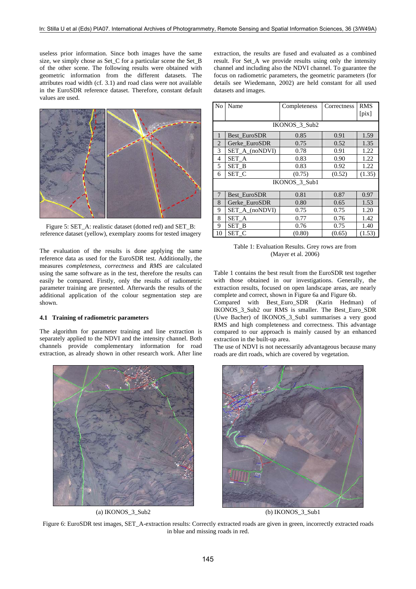useless prior information. Since both images have the same size, we simply chose as Set C for a particular scene the Set B of the other scene. The following results were obtained with geometric information from the different datasets. The attributes road width (cf. 3.1) and road class were not available in the EuroSDR reference dataset. Therefore, constant default values are used.



Figure 5: SET\_A: realistic dataset (dotted red) and SET\_B: reference dataset (yellow), exemplary zooms for tested imagery

The evaluation of the results is done applying the same reference data as used for the EuroSDR test. Additionally, the measures *completeness, correctness* and *RMS* are calculated using the same software as in the test, therefore the results can easily be compared. Firstly, only the results of radiometric parameter training are presented. Afterwards the results of the additional application of the colour segmentation step are shown.

#### **4.1 Training of radiometric parameters**

The algorithm for parameter training and line extraction is separately applied to the NDVI and the intensity channel. Both channels provide complementary information for road extraction, as already shown in other research work. After line



(a) IKONOS 3 Sub2 (b) IKONOS 3 Sub1

extraction, the results are fused and evaluated as a combined result. For Set\_A we provide results using only the intensity channel and including also the NDVI channel. To guarantee the focus on radiometric parameters, the geometric parameters (for details see Wiedemann, 2002) are held constant for all used datasets and images.

| No             | Name           | Completeness | Correctness | <b>RMS</b><br>$[\text{pix}]$ |  |  |  |  |
|----------------|----------------|--------------|-------------|------------------------------|--|--|--|--|
| IKONOS_3_Sub2  |                |              |             |                              |  |  |  |  |
| 1              | Best EuroSDR   | 0.85         | 0.91        | 1.59                         |  |  |  |  |
| $\overline{2}$ | Gerke EuroSDR  | 0.75         | 0.52        | 1.35                         |  |  |  |  |
| 3              | SET A (noNDVI) | 0.78         | 0.91        | 1.22                         |  |  |  |  |
| 4              | SET A          | 0.83         | 0.90        | 1.22                         |  |  |  |  |
| 5              | SET_B          | 0.83         | 0.92        | 1.22                         |  |  |  |  |
| 6              | SET C          | (0.75)       | (0.52)      | (1.35)                       |  |  |  |  |
| IKONOS 3 Sub1  |                |              |             |                              |  |  |  |  |
| 7              | Best EuroSDR   | 0.81         | 0.87        | 0.97                         |  |  |  |  |
| 8              | Gerke EuroSDR  | 0.80         | 0.65        | 1.53                         |  |  |  |  |
| 9              | SET_A_(noNDVI) | 0.75         | 0.75        | 1.20                         |  |  |  |  |
| 8              | SET A          | 0.77         | 0.76        | 1.42                         |  |  |  |  |
| 9              | SET B          | 0.76         | 0.75        | 1.40                         |  |  |  |  |
| 10             | SET C          | (0.80)       | (0.65)      | (1.53)                       |  |  |  |  |

Table 1: Evaluation Results. Grey rows are from (Mayer et al. 2006)

Table 1 contains the best result from the EuroSDR test together with those obtained in our investigations. Generally, the extraction results, focused on open landscape areas, are nearly complete and correct, shown in Figure 6a and Figure 6b.

Compared with Best\_Euro\_SDR (Karin Hedman) of IKONOS\_3\_Sub2 our RMS is smaller. The Best\_Euro\_SDR (Uwe Bacher) of IKONOS\_3\_Sub1 summarises a very good RMS and high completeness and correctness. This advantage compared to our approach is mainly caused by an enhanced extraction in the built-up area.

The use of NDVI is not necessarily advantageous because many roads are dirt roads, which are covered by vegetation.



Figure 6: EuroSDR test images, SET\_A-extraction results: Correctly extracted roads are given in green, incorrectly extracted roads in blue and missing roads in red.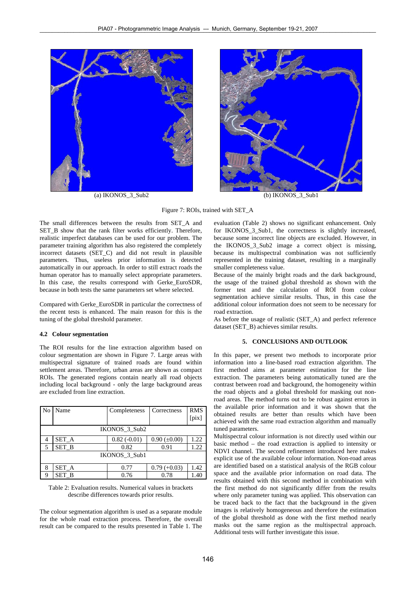



Figure 7: ROIs, trained with SET\_A

The small differences between the results from SET\_A and SET\_B show that the rank filter works efficiently. Therefore, realistic imperfect databases can be used for our problem. The parameter training algorithm has also registered the completely incorrect datasets (SET\_C) and did not result in plausible parameters. Thus, useless prior information is detected automatically in our approach. In order to still extract roads the human operator has to manually select appropriate parameters. In this case, the results correspond with Gerke\_EuroSDR, because in both tests the same parameters set where selected.

Compared with Gerke\_EuroSDR in particular the correctness of the recent tests is enhanced. The main reason for this is the tuning of the global threshold parameter.

### **4.2 Colour segmentation**

The ROI results for the line extraction algorithm based on colour segmentation are shown in Figure 7. Large areas with multispectral signature of trained roads are found within settlement areas. Therefore, urban areas are shown as compact ROIs. The generated regions contain nearly all road objects including local background - only the large background areas are excluded from line extraction.

| N <sub>0</sub> | Name  | Completeness  | Correctness         | <b>RMS</b>     |  |  |  |
|----------------|-------|---------------|---------------------|----------------|--|--|--|
|                |       |               |                     | $[\text{pix}]$ |  |  |  |
| IKONOS_3_Sub2  |       |               |                     |                |  |  |  |
| 4              | SET_A | $0.82(-0.01)$ | $0.90 \ (\pm 0.00)$ | 1.22           |  |  |  |
| 5              | SET B | 0.82          | 0.91                | 1.22           |  |  |  |
| IKONOS 3 Sub1  |       |               |                     |                |  |  |  |
| 8              | SET A | 0.77          | $0.79 (+0.03)$      | 1.42           |  |  |  |
| Q              | SET B | 0.76          | 0.78                | 1.40           |  |  |  |

| Table 2: Evaluation results. Numerical values in brackets |  |  |  |  |
|-----------------------------------------------------------|--|--|--|--|
| describe differences towards prior results.               |  |  |  |  |

The colour segmentation algorithm is used as a separate module for the whole road extraction process. Therefore, the overall result can be compared to the results presented in Table 1. The evaluation (Table 2) shows no significant enhancement. Only for IKONOS\_3\_Sub1, the correctness is slightly increased, because some incorrect line objects are excluded. However, in the IKONOS\_3\_Sub2 image a correct object is missing, because its multispectral combination was not sufficiently represented in the training dataset, resulting in a marginally smaller completeness value.

Because of the mainly bright roads and the dark background, the usage of the trained global threshold as shown with the former test and the calculation of ROI from colour segmentation achieve similar results. Thus, in this case the additional colour information does not seem to be necessary for road extraction.

As before the usage of realistic (SET\_A) and perfect reference dataset (SET\_B) achieves similar results.

#### **5. CONCLUSIONS AND OUTLOOK**

In this paper, we present two methods to incorporate prior information into a line-based road extraction algorithm. The first method aims at parameter estimation for the line extraction. The parameters being automatically tuned are the contrast between road and background, the homogeneity within the road objects and a global threshold for masking out nonroad areas. The method turns out to be robust against errors in the available prior information and it was shown that the obtained results are better than results which have been achieved with the same road extraction algorithm and manually tuned parameters.

Multispectral colour information is not directly used within our basic method – the road extraction is applied to intensity or NDVI channel. The second refinement introduced here makes explicit use of the available colour information. Non-road areas are identified based on a statistical analysis of the RGB colour space and the available prior information on road data. The results obtained with this second method in combination with the first method do not significantly differ from the results where only parameter tuning was applied. This observation can be traced back to the fact that the background in the given images is relatively homogeneous and therefore the estimation of the global threshold as done with the first method nearly masks out the same region as the multispectral approach. Additional tests will further investigate this issue.